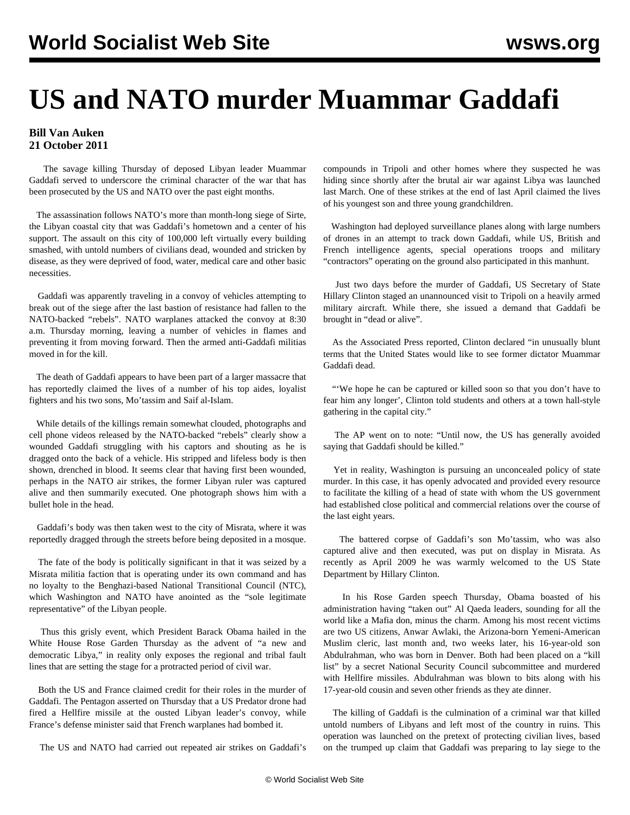## **US and NATO murder Muammar Gaddafi**

## **Bill Van Auken 21 October 2011**

 The savage killing Thursday of deposed Libyan leader Muammar Gaddafi served to underscore the criminal character of the war that has been prosecuted by the US and NATO over the past eight months.

 The assassination follows NATO's more than month-long siege of Sirte, the Libyan coastal city that was Gaddafi's hometown and a center of his support. The assault on this city of 100,000 left virtually every building smashed, with untold numbers of civilians dead, wounded and stricken by disease, as they were deprived of food, water, medical care and other basic necessities.

 Gaddafi was apparently traveling in a convoy of vehicles attempting to break out of the siege after the last bastion of resistance had fallen to the NATO-backed "rebels". NATO warplanes attacked the convoy at 8:30 a.m. Thursday morning, leaving a number of vehicles in flames and preventing it from moving forward. Then the armed anti-Gaddafi militias moved in for the kill.

 The death of Gaddafi appears to have been part of a larger massacre that has reportedly claimed the lives of a number of his top aides, loyalist fighters and his two sons, Mo'tassim and Saif al-Islam.

 While details of the killings remain somewhat clouded, photographs and cell phone videos released by the NATO-backed "rebels" clearly show a wounded Gaddafi struggling with his captors and shouting as he is dragged onto the back of a vehicle. His stripped and lifeless body is then shown, drenched in blood. It seems clear that having first been wounded, perhaps in the NATO air strikes, the former Libyan ruler was captured alive and then summarily executed. One photograph shows him with a bullet hole in the head.

 Gaddafi's body was then taken west to the city of Misrata, where it was reportedly dragged through the streets before being deposited in a mosque.

 The fate of the body is politically significant in that it was seized by a Misrata militia faction that is operating under its own command and has no loyalty to the Benghazi-based National Transitional Council (NTC), which Washington and NATO have anointed as the "sole legitimate representative" of the Libyan people.

 Thus this grisly event, which President Barack Obama hailed in the White House Rose Garden Thursday as the advent of "a new and democratic Libya," in reality only exposes the regional and tribal fault lines that are setting the stage for a protracted period of civil war.

 Both the US and France claimed credit for their roles in the murder of Gaddafi. The Pentagon asserted on Thursday that a US Predator drone had fired a Hellfire missile at the ousted Libyan leader's convoy, while France's defense minister said that French warplanes had bombed it.

The US and NATO had carried out repeated air strikes on Gaddafi's

compounds in Tripoli and other homes where they suspected he was hiding since shortly after the brutal air war against Libya was launched last March. One of these strikes at the end of last April claimed the lives of his youngest son and three young grandchildren.

 Washington had deployed surveillance planes along with large numbers of drones in an attempt to track down Gaddafi, while US, British and French intelligence agents, special operations troops and military "contractors" operating on the ground also participated in this manhunt.

 Just two days before the murder of Gaddafi, US Secretary of State Hillary Clinton staged an unannounced visit to Tripoli on a heavily armed military aircraft. While there, she issued a demand that Gaddafi be brought in "dead or alive".

 As the Associated Press reported, Clinton declared "in unusually blunt terms that the United States would like to see former dictator Muammar Gaddafi dead.

"'We hope he can be captured or killed soon so that you don't have to fear him any longer', Clinton told students and others at a town hall-style gathering in the capital city."

 The AP went on to note: "Until now, the US has generally avoided saying that Gaddafi should be killed."

 Yet in reality, Washington is pursuing an unconcealed policy of state murder. In this case, it has openly advocated and provided every resource to facilitate the killing of a head of state with whom the US government had established close political and commercial relations over the course of the last eight years.

 The battered corpse of Gaddafi's son Mo'tassim, who was also captured alive and then executed, was put on display in Misrata. As recently as April 2009 he was warmly welcomed to the US State Department by Hillary Clinton.

 In his Rose Garden speech Thursday, Obama boasted of his administration having "taken out" Al Qaeda leaders, sounding for all the world like a Mafia don, minus the charm. Among his most recent victims are two US citizens, Anwar Awlaki, the Arizona-born Yemeni-American Muslim cleric, last month and, two weeks later, his 16-year-old son Abdulrahman, who was born in Denver. Both had been placed on a "kill list" by a secret National Security Council subcommittee and murdered with Hellfire missiles. Abdulrahman was blown to bits along with his 17-year-old cousin and seven other friends as they ate dinner.

 The killing of Gaddafi is the culmination of a criminal war that killed untold numbers of Libyans and left most of the country in ruins. This operation was launched on the pretext of protecting civilian lives, based on the trumped up claim that Gaddafi was preparing to lay siege to the